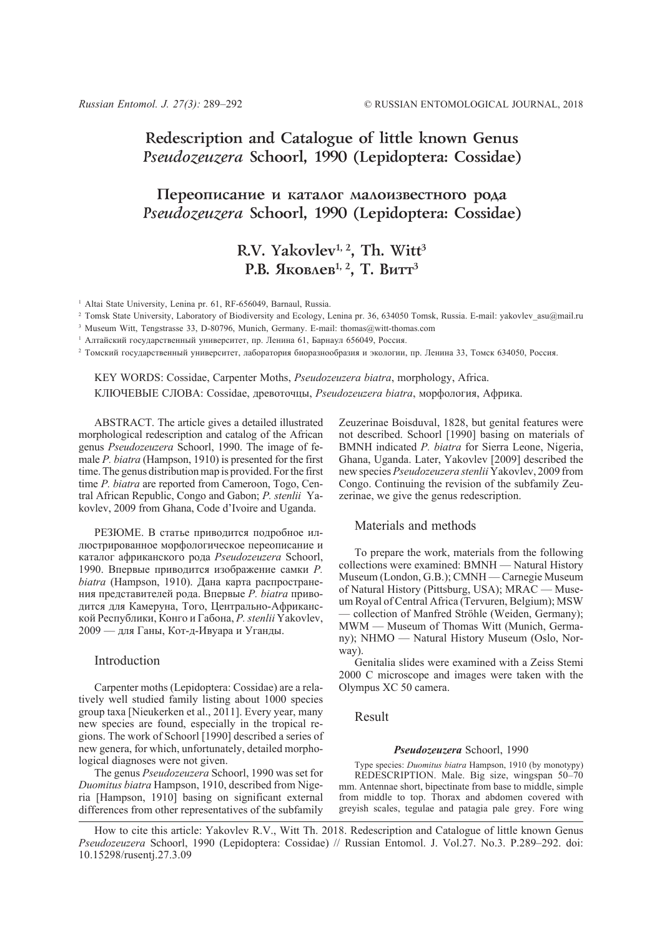# **Redescription and Catalogue of little known Genus** *Pseudozeuzera* **Schoorl, 1990 (Lepidoptera: Cossidae)**

## Переописание и каталог малоизвестного рода *Pseudozeuzera* **Schoorl, 1990 (Lepidoptera: Cossidae)**

# R.V. Yakovlev<sup>1, 2</sup>, Th. Witt<sup>3</sup> **Р.В. Яковлев<sup>1, 2</sup>, Т. Витт<sup>3</sup>**

<sup>1</sup> Altai State University, Lenina pr. 61, RF-656049, Barnaul, Russia.

<sup>2</sup> Tomsk State University, Laboratory of Biodiversity and Ecology, Lenina pr. 36, 634050 Tomsk, Russia. E-mail: yakovlev\_asu@mail.ru

<sup>3</sup> Museum Witt, Tengstrasse 33, D-80796, Munich, Germany. E-mail: thomas@witt-thomas.com

<sup>1</sup> Алтайский государственный университет, пр. Ленина 61, Барнаул 656049, Россия.

<sup>2</sup> Томский государственный университет, лаборатория биоразнообразия и экологии, пр. Ленина 33, Томск 634050, Россия.

KEY WORDS: Cossidae, Carpenter Moths, *Pseudozeuzera biatra*, morphology, Africa. КЛЮЧЕВЫЕ СЛОВА: Cossidae, древоточцы, *Pseudozeuzera biatra*, морфология, Африка.

ABSTRACT. The article gives a detailed illustrated morphological redescription and catalog of the African genus *Pseudozeuzera* Schoorl, 1990. The image of female *P. biatra* (Hampson, 1910) is presented for the first time. The genus distribution map is provided. For the first time *P. biatra* are reported from Cameroon, Togo, Central African Republic, Congo and Gabon; *P. stenlii* Yakovlev, 2009 from Ghana, Code d'Ivoire and Uganda.

РЕЗЮМЕ. В статье приводится подробное иллюстрированное морфологическое переописание и каталог африканского рода *Pseudozeuzera* Schoorl, 1990. Впервые приводится изображение самки *P. biatra* (Hampson, 1910). Дана карта распространения представителей рода. Впервые *P. biatra* приводится для Камеруна, Того, Центрально-Африканской Республики, Конго и Габона, *P. stenlii* Yakovlev, 2009 — для Ганы, Кот-д-Ивуара и Уганды.

### Introduction

Carpenter moths (Lepidoptera: Cossidae) are a relatively well studied family listing about 1000 species group taxa [Nieukerken et al., 2011]. Every year, many new species are found, especially in the tropical regions. The work of Schoorl [1990] described a series of new genera, for which, unfortunately, detailed morphological diagnoses were not given.

The genus *Pseudozeuzera* Schoorl, 1990 was set for *Duomitus biatra* Hampson, 1910, described from Nigeria [Hampson, 1910] basing on significant external differences from other representatives of the subfamily

Zeuzerinae Boisduval, 1828, but genital features were not described. Schoorl [1990] basing on materials of BMNH indicated *P. biatra* for Sierra Leone, Nigeria, Ghana, Uganda. Later, Yakovlev [2009] described the new species *Pseudozeuzera stenlii* Yakovlev, 2009 from Congo. Continuing the revision of the subfamily Zeuzerinae, we give the genus redescription.

#### Materials and methods

To prepare the work, materials from the following collections were examined: BMNH — Natural History Museum (London, G.B.); CMNH — Carnegie Museum of Natural History (Pittsburg, USA); MRAC — Museum Royal of Central Africa (Tervuren, Belgium); MSW — collection of Manfred Ströhle (Weiden, Germany); MWM — Museum of Thomas Witt (Munich, Germany); NHMO — Natural History Museum (Oslo, Norway).

Genitalia slides were examined with a Zeiss Stemi 2000 C microscope and images were taken with the Olympus XC 50 camera.

#### Result

#### *Pseudozeuzera* Schoorl, 1990

Type species: *Duomitus biatra* Hampson, 1910 (by monotypy) REDESCRIPTION. Male. Big size, wingspan 50–70 mm. Antennae short, bipectinate from base to middle, simple from middle to top. Thorax and abdomen covered with greyish scales, tegulae and patagia pale grey. Fore wing

How to cite this article: Yakovlev R.V., Witt Th. 2018. Redescription and Catalogue of little known Genus *Pseudozeuzera* Schoorl, 1990 (Lepidoptera: Cossidae) // Russian Entomol. J. Vol.27. No.3. P.289–292. doi: 10.15298/rusentj.27.3.09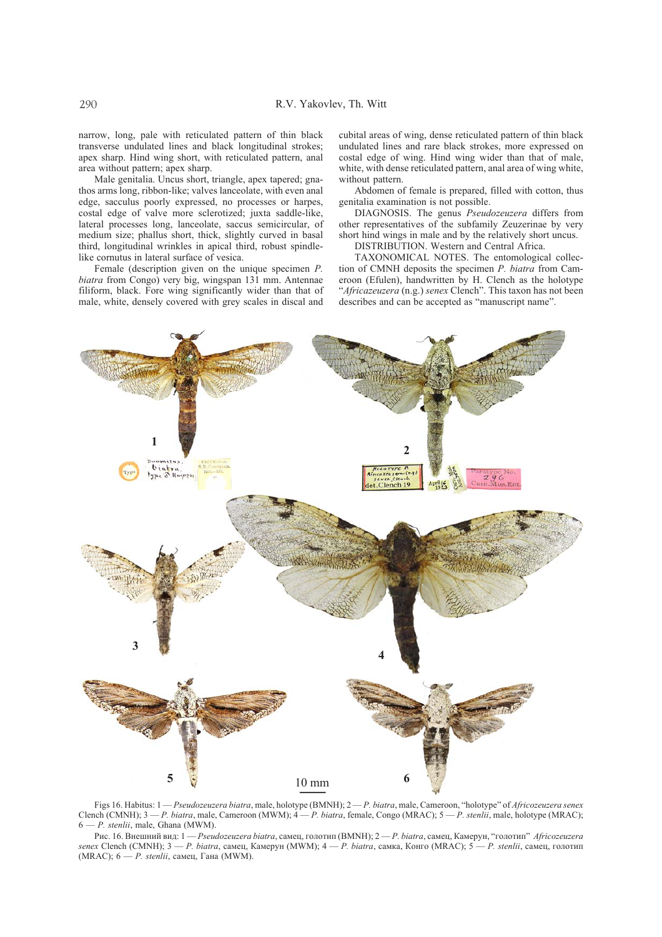narrow, long, pale with reticulated pattern of thin black transverse undulated lines and black longitudinal strokes; apex sharp. Hind wing short, with reticulated pattern, anal area without pattern; apex sharp.

Male genitalia. Uncus short, triangle, apex tapered; gnathos arms long, ribbon-like; valves lanceolate, with even anal edge, sacculus poorly expressed, no processes or harpes, costal edge of valve more sclerotized; juxta saddle-like, lateral processes long, lanceolate, saccus semicircular, of medium size; phallus short, thick, slightly curved in basal third, longitudinal wrinkles in apical third, robust spindlelike cornutus in lateral surface of vesica.

Female (description given on the unique specimen *P. biatra* from Congo) very big, wingspan 131 mm. Antennae filiform, black. Fore wing significantly wider than that of male, white, densely covered with grey scales in discal and cubital areas of wing, dense reticulated pattern of thin black undulated lines and rare black strokes, more expressed on costal edge of wing. Hind wing wider than that of male, white, with dense reticulated pattern, anal area of wing white, without pattern.

Abdomen of female is prepared, filled with cotton, thus genitalia examination is not possible.

DIAGNOSIS. The genus *Pseudozeuzera* differs from other representatives of the subfamily Zeuzerinae by very short hind wings in male and by the relatively short uncus.

DISTRIBUTION. Western and Central Africa.

TAXONOMICAL NOTES. The entomological collection of CMNH deposits the specimen *P. biatra* from Cameroon (Efulen), handwritten by H. Clench as the holotype "*Africazeuzera* (n.g.) *senex* Clench". This taxon has not been describes and can be accepted as "manuscript name".



Figs 16. Habitus: 1 — *Pseudozeuzera biatra*, male, holotype (BMNH); 2 — *P. biatra*, male, Cameroon, "holotype" of *Africozeuzera senex* Clench (CMNH); 3 — *P. biatra*, male, Cameroon (MWM); 4 — *P. biatra*, female, Congo (MRAC); 5 — *P. stenlii*, male, holotype (MRAC); 6 — *P. stenlii*, male, Ghana (MWM).

Рис. 16. Внешний вид: 1 — *Pseudozeuzera biatra*, самец, голотип (BMNH); 2 — *P. biatra*, самец, Камерун, "голотип" *Africozeuzera senex* Clench (CMNH); 3 — *P. biatra*, самец, Камерун (MWM); 4 — *P. biatra*, самка, Конго (MRAC); 5 — *P. stenlii*, самец, голотип (MRAC); 6 — *P. stenlii*, самец, Гана (MWM).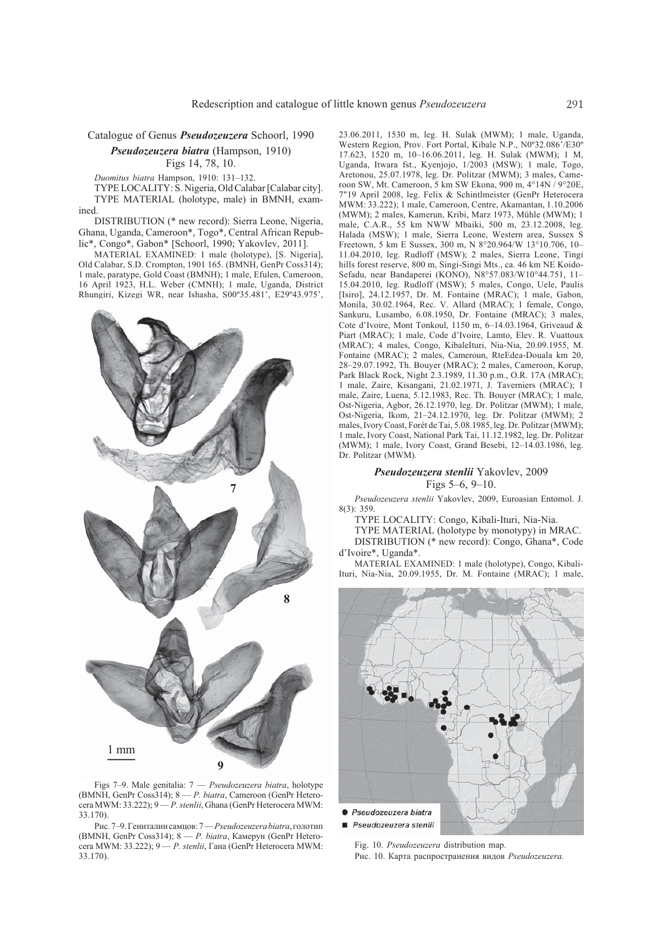Catalogue of Genus *Pseudozeuzera* Schoorl, 1990 *Pseudozeuzera biatra* (Hampson, 1910)

Figs 14, 78, 10.

*Duomitus biatra* Hampson, 1910: 131–132.

TYPE LOCALITY: S. Nigeria, Old Calabar [Calabar city]. TYPE MATERIAL (holotype, male) in BMNH, examined.

DISTRIBUTION (\* new record): Sierra Leone, Nigeria, Ghana, Uganda, Cameroon\*, Togo\*, Central African Republic\*, Congo\*, Gabon\* [Schoorl, 1990; Yakovlev, 2011].

MATERIAL EXAMINED: 1 male (holotype), [S. Nigeria], Old Calabar, S.D. Crompton, 1901 165. (BMNH, GenPr Coss314); 1 male, paratype, Gold Coast (BMNH); 1 male, Efulen, Cameroon, 16 April 1923, H.L. Weber (CMNH); 1 male, Uganda, District Rhungiri, Kizegi WR, near Ishasha, S00º35.481', E29º43.975',



Figs 7–9. Male genitalia: 7 — *Pseudozeuzera biatra*, holotype (BMNH, GenPr Coss314); 8 — *P. biatra*, Cameroon (GenPr Heterocera MWM: 33.222); 9 — *P. stenlii*, Ghana (GenPr Heterocera MWM: 33.170).

Рис. 7–9. Гениталиисамцов: 7 — *Pseudozeuzera biatra*, голотип (BMNH, GenPr Coss314); 8 — *P. biatra*, Камерун (GenPr Heterocera MWM: 33.222); 9 — *P. stenlii*, Гана (GenPr Heterocera MWM: 33.170).

23.06.2011, 1530 m, leg. H. Sulak (MWM); 1 male, Uganda, Western Region, Prov. Fort Portal, Kibale N.P., N0º32.086'/E30º 17.623, 1520 m, 10–16.06.2011, leg. H. Sulak (MWM); 1 M, Uganda, Itwara fst., Kyenjojo, 1/2003 (MSW); 1 male, Togo, Aretonou, 25.07.1978, leg. Dr. Politzar (MWM); 3 males, Cameroon SW, Mt. Cameroon, 5 km SW Ekona, 900 m, 4°14N / 9°20E, 7"19 April 2008, leg. Felix & Schintlmeister (GenPr Heterocera MWM: 33.222); 1 male, Cameroon, Centre, Akamantan, 1.10.2006 (MWM); 2 males, Kamerun, Kribi, Marz 1973, Mühle (MWM); 1 male, C.A.R., 55 km NWW Mbaiki, 500 m, 23.12.2008, leg. Halada (MSW); 1 male, Sierra Leone, Western area, Sussex S Freetown, 5 km E Sussex, 300 m, N 8°20.964/W 13°10.706, 10– 11.04.2010, leg. Rudloff (MSW); 2 males, Sierra Leone, Tingi hills forest reserve, 800 m, Singi-Singi Mts., ca. 46 km NE Koido-Sefadu, near Bandaperei (KONO), N8°57.083/W10°44.751, 11– 15.04.2010, leg. Rudloff (MSW); 5 males, Congo, Uele, Paulis [Isiro], 24.12.1957, Dr. M. Fontaine (MRAC); 1 male, Gabon, Monila, 30.02.1964, Rec. V. Allard (MRAC); 1 female, Congo, Sankuru, Lusambo, 6.08.1950, Dr. Fontaine (MRAC); 3 males, Cote d'Ivoire, Mont Tonkoul, 1150 m, 6–14.03.1964, Griveaud & Piart (MRAC); 1 male, Code d'Ivoire, Lamto, Elev. R. Vuattoux (MRAC); 4 males, Congo, KibaleIturi, Nia-Nia, 20.09.1955, M. Fontaine (MRAC); 2 males, Cameroun, RteEdea-Douala km 20, 28–29.07.1992, Th. Bouyer (MRAC); 2 males, Cameroon, Korup, Park Black Rock, Night 2.3.1989, 11.30 p.m., O.R. 17A (MRAC); 1 male, Zaire, Kisangani, 21.02.1971, J. Taverniers (MRAC); 1 male, Zaire, Luena, 5.12.1983, Rec. Th. Bouyer (MRAC); 1 male, Ost-Nigeria, Agbor, 26.12.1970, leg. Dr. Politzar (MWM); 1 male, Ost-Nigeria, Ikom, 21–24.12.1970, leg. Dr. Politzar (MWM); 2 males, Ivory Coast, Forét de Tai, 5.08.1985, leg. Dr. Politzar (MWM); 1 male, Ivory Coast, National Park Tai, 11.12.1982, leg. Dr. Politzar (MWM); 1 male, Ivory Coast, Grand Besebi, 12–14.03.1986, leg. Dr. Politzar (MWM).

#### *Pseudozeuzera stenlii* Yakovlev, 2009 Figs 5–6, 9–10.

*Pseudozeuzera stenlii* Yakovlev, 2009, Euroasian Entomol. J. 8(3): 359.

TYPE LOCALITY: Congo, Kibali-Ituri, Nia-Nia.

TYPE MATERIAL (holotype by monotypy) in MRAC. DISTRIBUTION (\* new record): Congo, Ghana\*, Code d'Ivoire\*, Uganda\*.

MATERIAL EXAMINED: 1 male (holotype), Congo, Kibali-Ituri, Nia-Nia, 20.09.1955, Dr. M. Fontaine (MRAC); 1 male,



Fig. 10. *Pseudozeuzera* distribution map. Рис. 10. Карта распространения видов *Pseudozeuzera.*